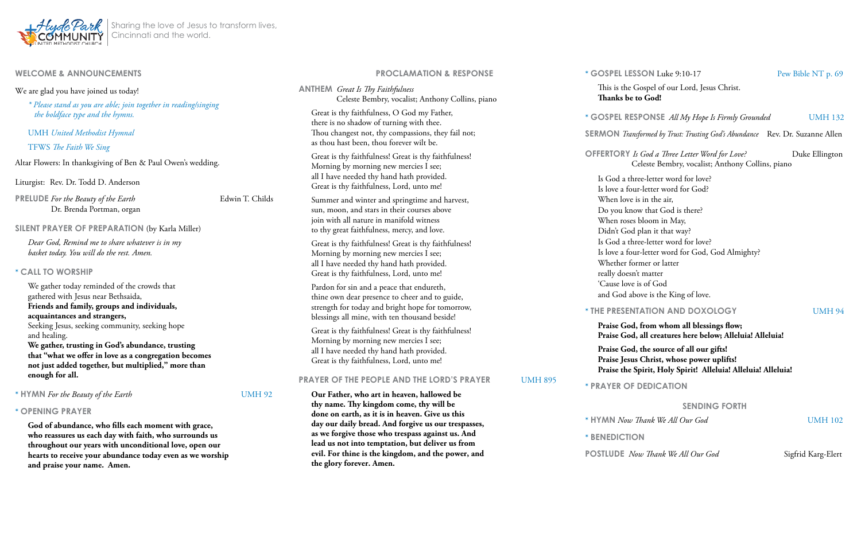

**and praise your name. Amen.** 

| <b>WELCOME &amp; ANNOUNCEMENTS</b>                                                                                                                                                                                                                                                                                                   |                 | <b>PROCLAMATION &amp; RESPONSE</b>                                                                                                                                                                                |                | $*$ GO                                                  |
|--------------------------------------------------------------------------------------------------------------------------------------------------------------------------------------------------------------------------------------------------------------------------------------------------------------------------------------|-----------------|-------------------------------------------------------------------------------------------------------------------------------------------------------------------------------------------------------------------|----------------|---------------------------------------------------------|
| We are glad you have joined us today!<br>* Please stand as you are able; join together in reading/singing<br>the boldface type and the hymns.                                                                                                                                                                                        |                 | <b>ANTHEM</b> Great Is Thy Faithfulness<br>Celeste Bembry, vocalist; Anthony Collins, piano                                                                                                                       |                | $\mathbb T$<br>T                                        |
|                                                                                                                                                                                                                                                                                                                                      |                 | Great is thy faithfulness, O God my Father,<br>there is no shadow of turning with thee.                                                                                                                           |                | $*$ GO                                                  |
| <b>UMH</b> United Methodist Hymnal<br>TFWS The Faith We Sing                                                                                                                                                                                                                                                                         |                 | Thou changest not, thy compassions, they fail not;<br>as thou hast been, thou forever wilt be.                                                                                                                    |                | <b>SERN</b>                                             |
| Altar Flowers: In thanksgiving of Ben & Paul Owen's wedding.                                                                                                                                                                                                                                                                         |                 | Great is thy faithfulness! Great is thy faithfulness!<br>Morning by morning new mercies I see;                                                                                                                    |                | <b>OFFE</b>                                             |
| Liturgist: Rev. Dr. Todd D. Anderson                                                                                                                                                                                                                                                                                                 |                 | all I have needed thy hand hath provided.<br>Great is thy faithfulness, Lord, unto me!                                                                                                                            |                | Is<br>Is                                                |
| <b>PRELUDE</b> For the Beauty of the Earth<br>Dr. Brenda Portman, organ                                                                                                                                                                                                                                                              | Edwin T. Childs | Summer and winter and springtime and harvest,<br>sun, moon, and stars in their courses above<br>join with all nature in manifold witness                                                                          |                | $\boldsymbol{\mathrm{W}}$<br>$\mathbf D$<br>$\mathbf W$ |
| SILENT PRAYER OF PREPARATION (by Karla Miller)                                                                                                                                                                                                                                                                                       |                 | to thy great faithfulness, mercy, and love.                                                                                                                                                                       |                | $\mathbf D$                                             |
| Dear God, Remind me to share whatever is in my<br>basket today. You will do the rest. Amen.                                                                                                                                                                                                                                          |                 | Great is thy faithfulness! Great is thy faithfulness!<br>Morning by morning new mercies I see;<br>all I have needed thy hand hath provided.                                                                       |                | Is<br>Is<br>$\mathbf W$                                 |
| * CALL TO WORSHIP                                                                                                                                                                                                                                                                                                                    |                 | Great is thy faithfulness, Lord, unto me!                                                                                                                                                                         |                | re                                                      |
| We gather today reminded of the crowds that<br>gathered with Jesus near Bethsaida,                                                                                                                                                                                                                                                   |                 | Pardon for sin and a peace that endureth,<br>thine own dear presence to cheer and to guide,                                                                                                                       |                | $\mathcal{C}$<br>ar                                     |
| Friends and family, groups and individuals,<br>acquaintances and strangers,<br>Seeking Jesus, seeking community, seeking hope<br>and healing.<br>We gather, trusting in God's abundance, trusting<br>that "what we offer in love as a congregation becomes<br>not just added together, but multiplied," more than<br>enough for all. |                 | strength for today and bright hope for tomorrow,<br>blessings all mine, with ten thousand beside!                                                                                                                 |                | $*$ THE                                                 |
|                                                                                                                                                                                                                                                                                                                                      |                 | Great is thy faithfulness! Great is thy faithfulness!<br>Morning by morning new mercies I see;<br>all I have needed thy hand hath provided.<br>Great is thy faithfulness, Lord, unto me!                          |                | ${\bf P}$<br>${\bf P}$                                  |
|                                                                                                                                                                                                                                                                                                                                      |                 |                                                                                                                                                                                                                   |                | ${\bf P}$<br>${\bf P}$<br>${\bf P}$                     |
|                                                                                                                                                                                                                                                                                                                                      |                 | <b>PRAYER OF THE PEOPLE AND THE LORD'S PRAYER</b>                                                                                                                                                                 | <b>UMH 895</b> | $*PR$                                                   |
| * HYMN For the Beauty of the Earth                                                                                                                                                                                                                                                                                                   | <b>UMH 92</b>   | Our Father, who art in heaven, hallowed be<br>thy name. Thy kingdom come, thy will be                                                                                                                             |                |                                                         |
| * OPENING PRAYER                                                                                                                                                                                                                                                                                                                     |                 | done on earth, as it is in heaven. Give us this                                                                                                                                                                   |                |                                                         |
| God of abundance, who fills each moment with grace,<br>who reassures us each day with faith, who surrounds us<br>throughout our years with unconditional love, open our<br>hearts to receive your abundance today even as we worship                                                                                                 |                 | day our daily bread. And forgive us our trespasses,<br>as we forgive those who trespass against us. And<br>lead us not into temptation, but deliver us from<br>evil. For thine is the kingdom, and the power, and |                | * HYJ<br>* BEN                                          |
|                                                                                                                                                                                                                                                                                                                                      |                 |                                                                                                                                                                                                                   |                | POS <sub>1</sub>                                        |

his is the Gospel of our Lord, Jesus Christ. **Thanks be to God!**

**SPEL RESPONSE** All My Hope Is Firmly Grounded UMH 132

**ERTORY** *Is God a Three Letter Word for Love?* Duke Ellington Celeste Bembry, vocalist; Anthony Collins, piano

God a three-letter word for love? Iove a four-letter word for God? When love is in the air, Do you know that God is there? When roses bloom in May, Didn't God plan it that way? God a three-letter word for love? Iove a four-letter word for God, God Almighty? Whether former or latter eally doesn't matter Cause love is of God and God above is the King of love.

#### **\* PRESENTATION AND DOXOLOGY** UMH 94

**the glory forever. Amen.**

Sharing the love of Jesus to transform lives, Cincinnati and the world.

**SERMON** *Transformed by Trust: Trusting God's Abundance* Rev. Dr. Suzanne Allen

#### **Praise God, from whom all blessings flow; Praise God, all creatures here below; Alleluia! Alleluia!**

#### **Praise God, the source of all our gifts! Praise Jesus Christ, whose power uplifts! Praise the Spirit, Holy Spirit! Alleluia! Alleluia! Alleluia!**

**AYER OF DEDICATION** 

#### **SENDING FORTH**

**KNN** *Now Thank We All Our God* UMH 102

 $\overline{\text{N}}$ *BEDICTION* 

**POSTLUDE** *Now Thank We All Our God* Sigfrid Karg-Elert

**SPEL LESSON** Luke 9:10-17 Pew Bible NT p. 69